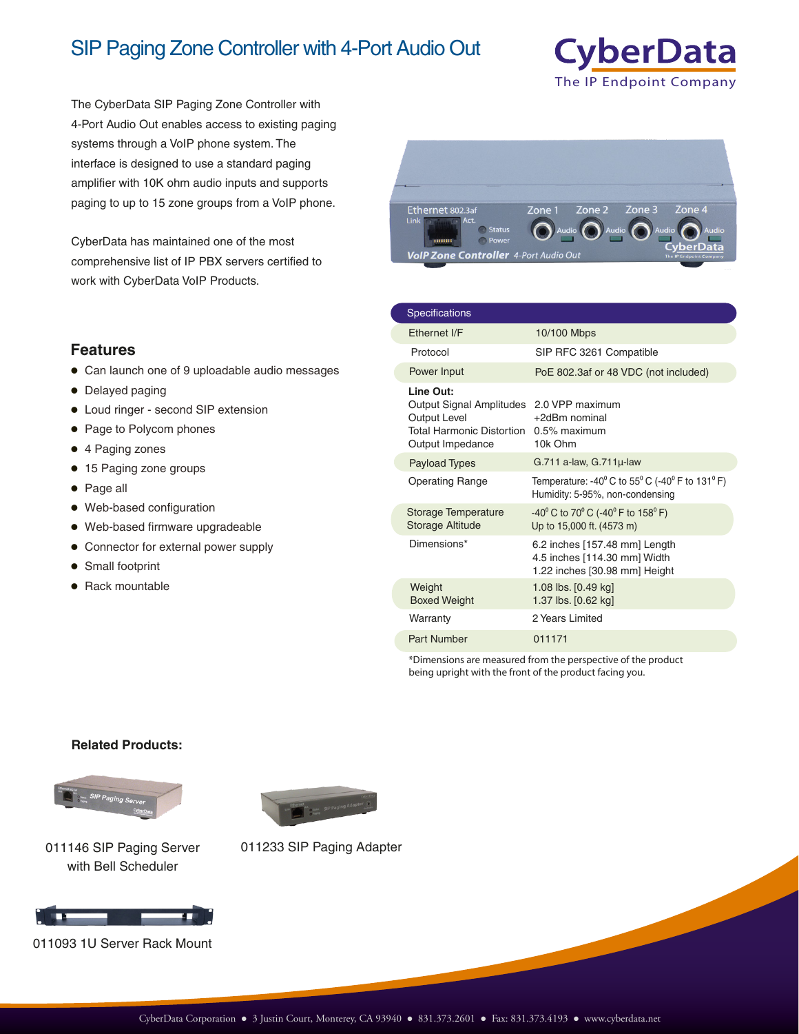## SIP Paging Zone Controller with 4-Port Audio Out



The CyberData SIP Paging Zone Controller with 4-Port Audio Out enables access to existing paging systems through a VoIP phone system. The interface is designed to use a standard paging amplifier with 10K ohm audio inputs and supports paging to up to 15 zone groups from a VoIP phone.

CyberData has maintained one of the most comprehensive list of IP PBX servers certified to work with CyberData VoIP Products.



## **Features**

- Can launch one of 9 uploadable audio messages
- Delayed paging
- Loud ringer second SIP extension
- Page to Polycom phones
- 4 Paging zones
- 15 Paging zone groups
- Page all
- Web-based configuration
- Web-based firmware upgradeable
- **Connector for external power supply**
- Small footprint
- Rack mountable

| <b>Specifications</b>                                                                                                |                                                                                                                            |
|----------------------------------------------------------------------------------------------------------------------|----------------------------------------------------------------------------------------------------------------------------|
| Fthernet I/F                                                                                                         | 10/100 Mbps                                                                                                                |
| Protocol                                                                                                             | SIP RFC 3261 Compatible                                                                                                    |
| Power Input                                                                                                          | PoE 802.3af or 48 VDC (not included)                                                                                       |
| Line Out:<br>Output Signal Amplitudes<br><b>Output Level</b><br><b>Total Harmonic Distortion</b><br>Output Impedance | 2.0 VPP maximum<br>+2dBm nominal<br>$0.5\%$ maximum<br>10k Ohm                                                             |
| <b>Payload Types</b>                                                                                                 | $G.711$ a-law, $G.711\mu$ -law                                                                                             |
| <b>Operating Range</b>                                                                                               | Temperature: -40 $^{\circ}$ C to 55 $^{\circ}$ C (-40 $^{\circ}$ F to 131 $^{\circ}$ F)<br>Humidity: 5-95%, non-condensing |
| <b>Storage Temperature</b><br><b>Storage Altitude</b>                                                                | $-40^{\circ}$ C to 70 $^{\circ}$ C (-40 $^{\circ}$ F to 158 $^{\circ}$ F)<br>Up to 15,000 ft. (4573 m)                     |
| Dimensions*                                                                                                          | 6.2 inches [157.48 mm] Length<br>4.5 inches [114.30 mm] Width<br>1.22 inches [30.98 mm] Height                             |
| Weight<br><b>Boxed Weight</b>                                                                                        | 1.08 lbs. [0.49 kg]<br>1.37 lbs. [0.62 kg]                                                                                 |
| Warranty                                                                                                             | 2 Years Limited                                                                                                            |
| Part Number                                                                                                          | 011171                                                                                                                     |

\*Dimensions are measured from the perspective of the product being upright with the front of the product facing you.

## **Related Products:**



with Bell Scheduler



011093 1U Server Rack Mount



011146 SIP Paging Server 011233 SIP Paging Adapter